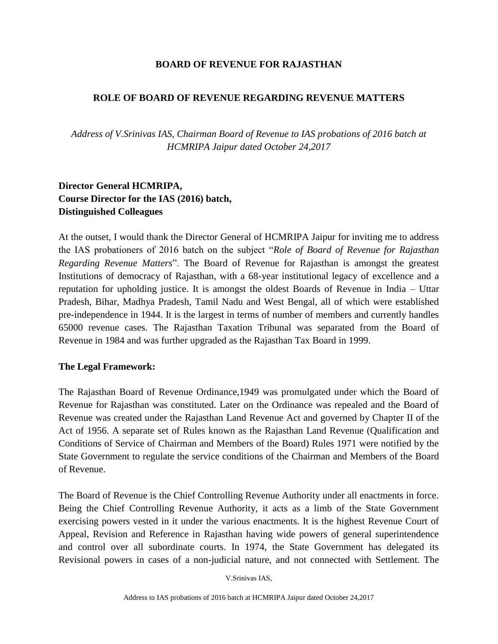### **BOARD OF REVENUE FOR RAJASTHAN**

### **ROLE OF BOARD OF REVENUE REGARDING REVENUE MATTERS**

*Address of V.Srinivas IAS, Chairman Board of Revenue to IAS probations of 2016 batch at HCMRIPA Jaipur dated October 24,2017*

# **Director General HCMRIPA, Course Director for the IAS (2016) batch, Distinguished Colleagues**

At the outset, I would thank the Director General of HCMRIPA Jaipur for inviting me to address the IAS probationers of 2016 batch on the subject "*Role of Board of Revenue for Rajasthan Regarding Revenue Matters*". The Board of Revenue for Rajasthan is amongst the greatest Institutions of democracy of Rajasthan, with a 68-year institutional legacy of excellence and a reputation for upholding justice. It is amongst the oldest Boards of Revenue in India – Uttar Pradesh, Bihar, Madhya Pradesh, Tamil Nadu and West Bengal, all of which were established pre-independence in 1944. It is the largest in terms of number of members and currently handles 65000 revenue cases. The Rajasthan Taxation Tribunal was separated from the Board of Revenue in 1984 and was further upgraded as the Rajasthan Tax Board in 1999.

#### **The Legal Framework:**

The Rajasthan Board of Revenue Ordinance,1949 was promulgated under which the Board of Revenue for Rajasthan was constituted. Later on the Ordinance was repealed and the Board of Revenue was created under the Rajasthan Land Revenue Act and governed by Chapter II of the Act of 1956. A separate set of Rules known as the Rajasthan Land Revenue (Qualification and Conditions of Service of Chairman and Members of the Board) Rules 1971 were notified by the State Government to regulate the service conditions of the Chairman and Members of the Board of Revenue.

The Board of Revenue is the Chief Controlling Revenue Authority under all enactments in force. Being the Chief Controlling Revenue Authority, it acts as a limb of the State Government exercising powers vested in it under the various enactments. It is the highest Revenue Court of Appeal, Revision and Reference in Rajasthan having wide powers of general superintendence and control over all subordinate courts. In 1974, the State Government has delegated its Revisional powers in cases of a non-judicial nature, and not connected with Settlement. The

V.Srinivas IAS,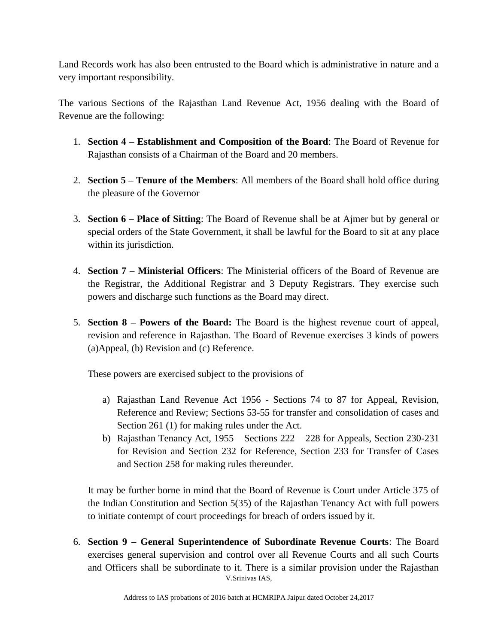Land Records work has also been entrusted to the Board which is administrative in nature and a very important responsibility.

The various Sections of the Rajasthan Land Revenue Act, 1956 dealing with the Board of Revenue are the following:

- 1. **Section 4 – Establishment and Composition of the Board**: The Board of Revenue for Rajasthan consists of a Chairman of the Board and 20 members.
- 2. **Section 5 – Tenure of the Members**: All members of the Board shall hold office during the pleasure of the Governor
- 3. **Section 6 – Place of Sitting**: The Board of Revenue shall be at Ajmer but by general or special orders of the State Government, it shall be lawful for the Board to sit at any place within its jurisdiction.
- 4. **Section 7 Ministerial Officers**: The Ministerial officers of the Board of Revenue are the Registrar, the Additional Registrar and 3 Deputy Registrars. They exercise such powers and discharge such functions as the Board may direct.
- 5. **Section 8 – Powers of the Board:** The Board is the highest revenue court of appeal, revision and reference in Rajasthan. The Board of Revenue exercises 3 kinds of powers (a)Appeal, (b) Revision and (c) Reference.

These powers are exercised subject to the provisions of

- a) Rajasthan Land Revenue Act 1956 Sections 74 to 87 for Appeal, Revision, Reference and Review; Sections 53-55 for transfer and consolidation of cases and Section 261 (1) for making rules under the Act.
- b) Rajasthan Tenancy Act, 1955 Sections 222 228 for Appeals, Section 230-231 for Revision and Section 232 for Reference, Section 233 for Transfer of Cases and Section 258 for making rules thereunder.

It may be further borne in mind that the Board of Revenue is Court under Article 375 of the Indian Constitution and Section 5(35) of the Rajasthan Tenancy Act with full powers to initiate contempt of court proceedings for breach of orders issued by it.

V.Srinivas IAS, 6. **Section 9 – General Superintendence of Subordinate Revenue Courts**: The Board exercises general supervision and control over all Revenue Courts and all such Courts and Officers shall be subordinate to it. There is a similar provision under the Rajasthan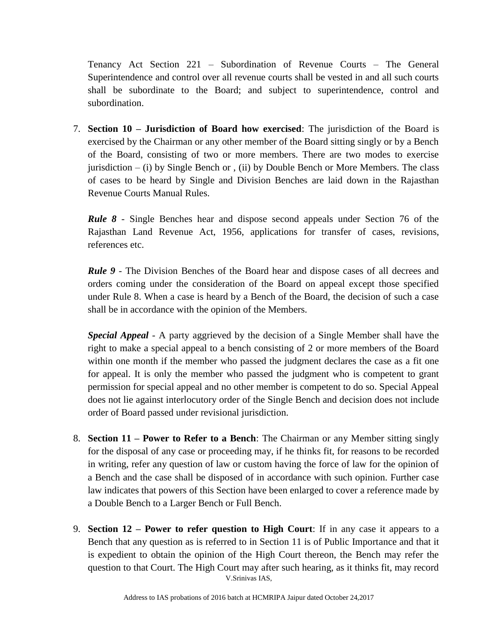Tenancy Act Section 221 – Subordination of Revenue Courts – The General Superintendence and control over all revenue courts shall be vested in and all such courts shall be subordinate to the Board; and subject to superintendence, control and subordination.

7. **Section 10 – Jurisdiction of Board how exercised**: The jurisdiction of the Board is exercised by the Chairman or any other member of the Board sitting singly or by a Bench of the Board, consisting of two or more members. There are two modes to exercise jurisdiction  $-$  (i) by Single Bench or , (ii) by Double Bench or More Members. The class of cases to be heard by Single and Division Benches are laid down in the Rajasthan Revenue Courts Manual Rules.

*Rule 8* - Single Benches hear and dispose second appeals under Section 76 of the Rajasthan Land Revenue Act, 1956, applications for transfer of cases, revisions, references etc.

*Rule 9* - The Division Benches of the Board hear and dispose cases of all decrees and orders coming under the consideration of the Board on appeal except those specified under Rule 8. When a case is heard by a Bench of the Board, the decision of such a case shall be in accordance with the opinion of the Members.

*Special Appeal* - A party aggrieved by the decision of a Single Member shall have the right to make a special appeal to a bench consisting of 2 or more members of the Board within one month if the member who passed the judgment declares the case as a fit one for appeal. It is only the member who passed the judgment who is competent to grant permission for special appeal and no other member is competent to do so. Special Appeal does not lie against interlocutory order of the Single Bench and decision does not include order of Board passed under revisional jurisdiction.

- 8. **Section 11 – Power to Refer to a Bench**: The Chairman or any Member sitting singly for the disposal of any case or proceeding may, if he thinks fit, for reasons to be recorded in writing, refer any question of law or custom having the force of law for the opinion of a Bench and the case shall be disposed of in accordance with such opinion. Further case law indicates that powers of this Section have been enlarged to cover a reference made by a Double Bench to a Larger Bench or Full Bench.
- V.Srinivas IAS, 9. **Section 12 – Power to refer question to High Court**: If in any case it appears to a Bench that any question as is referred to in Section 11 is of Public Importance and that it is expedient to obtain the opinion of the High Court thereon, the Bench may refer the question to that Court. The High Court may after such hearing, as it thinks fit, may record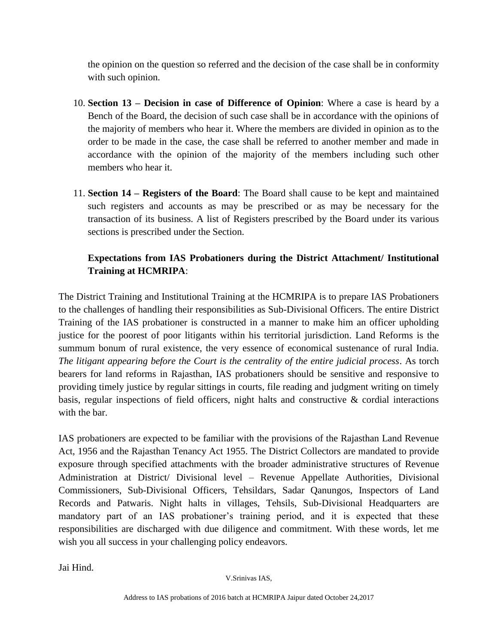the opinion on the question so referred and the decision of the case shall be in conformity with such opinion.

- 10. **Section 13 – Decision in case of Difference of Opinion**: Where a case is heard by a Bench of the Board, the decision of such case shall be in accordance with the opinions of the majority of members who hear it. Where the members are divided in opinion as to the order to be made in the case, the case shall be referred to another member and made in accordance with the opinion of the majority of the members including such other members who hear it.
- 11. **Section 14 – Registers of the Board**: The Board shall cause to be kept and maintained such registers and accounts as may be prescribed or as may be necessary for the transaction of its business. A list of Registers prescribed by the Board under its various sections is prescribed under the Section.

# **Expectations from IAS Probationers during the District Attachment/ Institutional Training at HCMRIPA**:

The District Training and Institutional Training at the HCMRIPA is to prepare IAS Probationers to the challenges of handling their responsibilities as Sub-Divisional Officers. The entire District Training of the IAS probationer is constructed in a manner to make him an officer upholding justice for the poorest of poor litigants within his territorial jurisdiction. Land Reforms is the summum bonum of rural existence, the very essence of economical sustenance of rural India. *The litigant appearing before the Court is the centrality of the entire judicial process*. As torch bearers for land reforms in Rajasthan, IAS probationers should be sensitive and responsive to providing timely justice by regular sittings in courts, file reading and judgment writing on timely basis, regular inspections of field officers, night halts and constructive & cordial interactions with the bar.

IAS probationers are expected to be familiar with the provisions of the Rajasthan Land Revenue Act, 1956 and the Rajasthan Tenancy Act 1955. The District Collectors are mandated to provide exposure through specified attachments with the broader administrative structures of Revenue Administration at District/ Divisional level – Revenue Appellate Authorities, Divisional Commissioners, Sub-Divisional Officers, Tehsildars, Sadar Qanungos, Inspectors of Land Records and Patwaris. Night halts in villages, Tehsils, Sub-Divisional Headquarters are mandatory part of an IAS probationer's training period, and it is expected that these responsibilities are discharged with due diligence and commitment. With these words, let me wish you all success in your challenging policy endeavors.

Jai Hind.

V.Srinivas IAS,